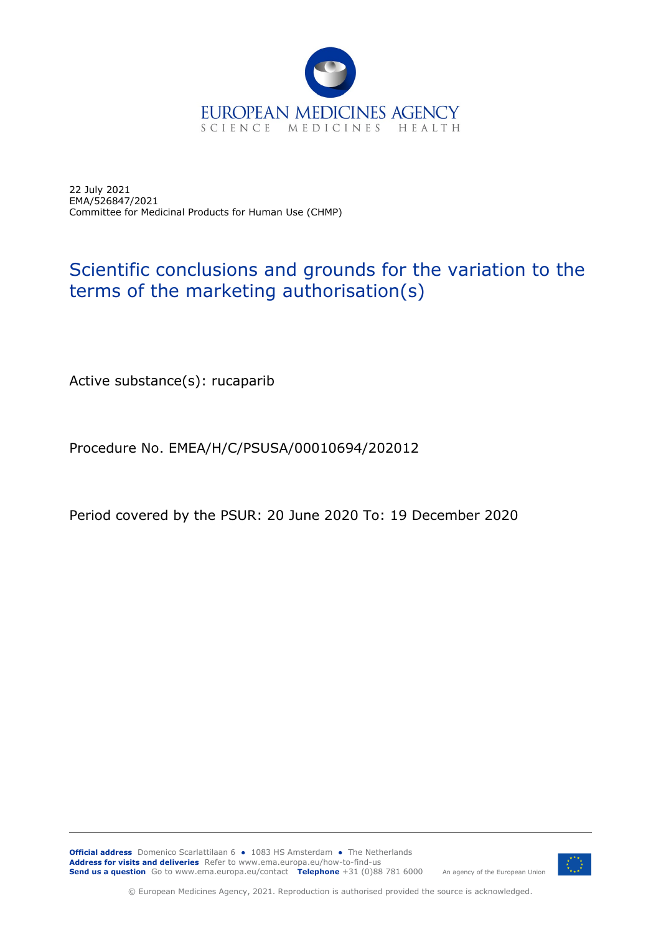

22 July 2021 EMA/526847/2021 Committee for Medicinal Products for Human Use (CHMP)

## Scientific conclusions and grounds for the variation to the terms of the marketing authorisation(s)

Active substance(s): rucaparib

Procedure No. EMEA/H/C/PSUSA/00010694/202012

Period covered by the PSUR: 20 June 2020 To: 19 December 2020



© European Medicines Agency, 2021. Reproduction is authorised provided the source is acknowledged.